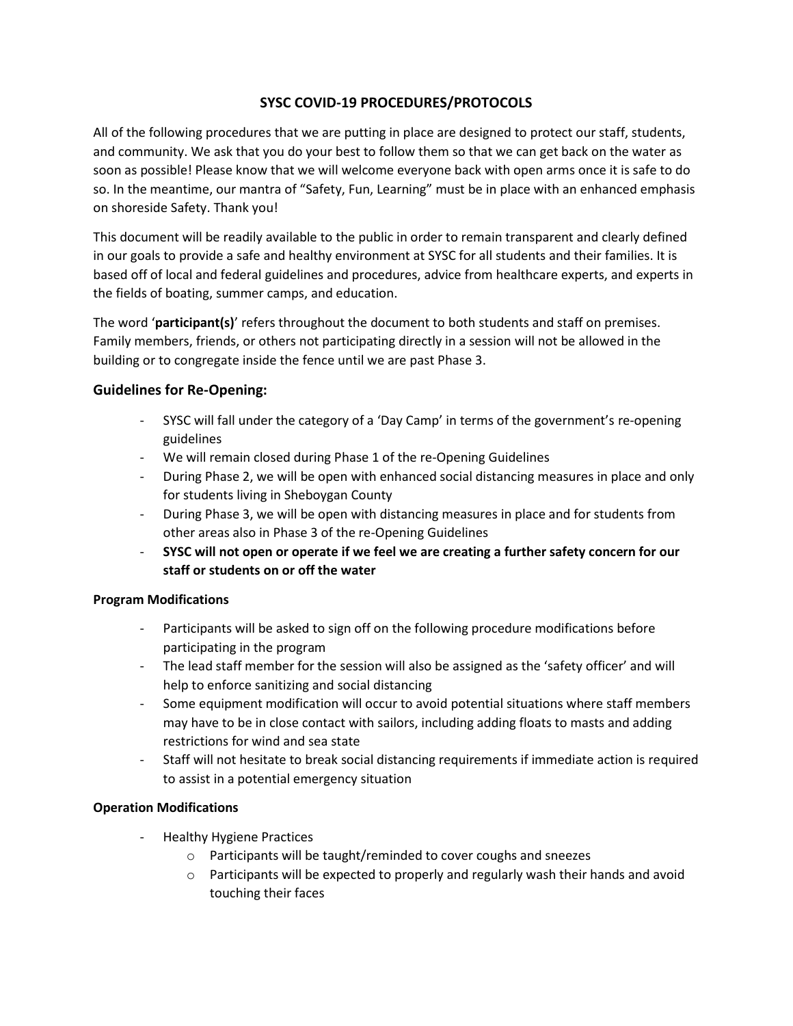## **SYSC COVID-19 PROCEDURES/PROTOCOLS**

All of the following procedures that we are putting in place are designed to protect our staff, students, and community. We ask that you do your best to follow them so that we can get back on the water as soon as possible! Please know that we will welcome everyone back with open arms once it is safe to do so. In the meantime, our mantra of "Safety, Fun, Learning" must be in place with an enhanced emphasis on shoreside Safety. Thank you!

This document will be readily available to the public in order to remain transparent and clearly defined in our goals to provide a safe and healthy environment at SYSC for all students and their families. It is based off of local and federal guidelines and procedures, advice from healthcare experts, and experts in the fields of boating, summer camps, and education.

The word '**participant(s)**' refers throughout the document to both students and staff on premises. Family members, friends, or others not participating directly in a session will not be allowed in the building or to congregate inside the fence until we are past Phase 3.

## **Guidelines for Re-Opening:**

- SYSC will fall under the category of a 'Day Camp' in terms of the government's re-opening guidelines
- We will remain closed during Phase 1 of the re-Opening Guidelines
- During Phase 2, we will be open with enhanced social distancing measures in place and only for students living in Sheboygan County
- During Phase 3, we will be open with distancing measures in place and for students from other areas also in Phase 3 of the re-Opening Guidelines
- **SYSC will not open or operate if we feel we are creating a further safety concern for our staff or students on or off the water**

## **Program Modifications**

- Participants will be asked to sign off on the following procedure modifications before participating in the program
- The lead staff member for the session will also be assigned as the 'safety officer' and will help to enforce sanitizing and social distancing
- Some equipment modification will occur to avoid potential situations where staff members may have to be in close contact with sailors, including adding floats to masts and adding restrictions for wind and sea state
- Staff will not hesitate to break social distancing requirements if immediate action is required to assist in a potential emergency situation

## **Operation Modifications**

- Healthy Hygiene Practices
	- o Participants will be taught/reminded to cover coughs and sneezes
	- $\circ$  Participants will be expected to properly and regularly wash their hands and avoid touching their faces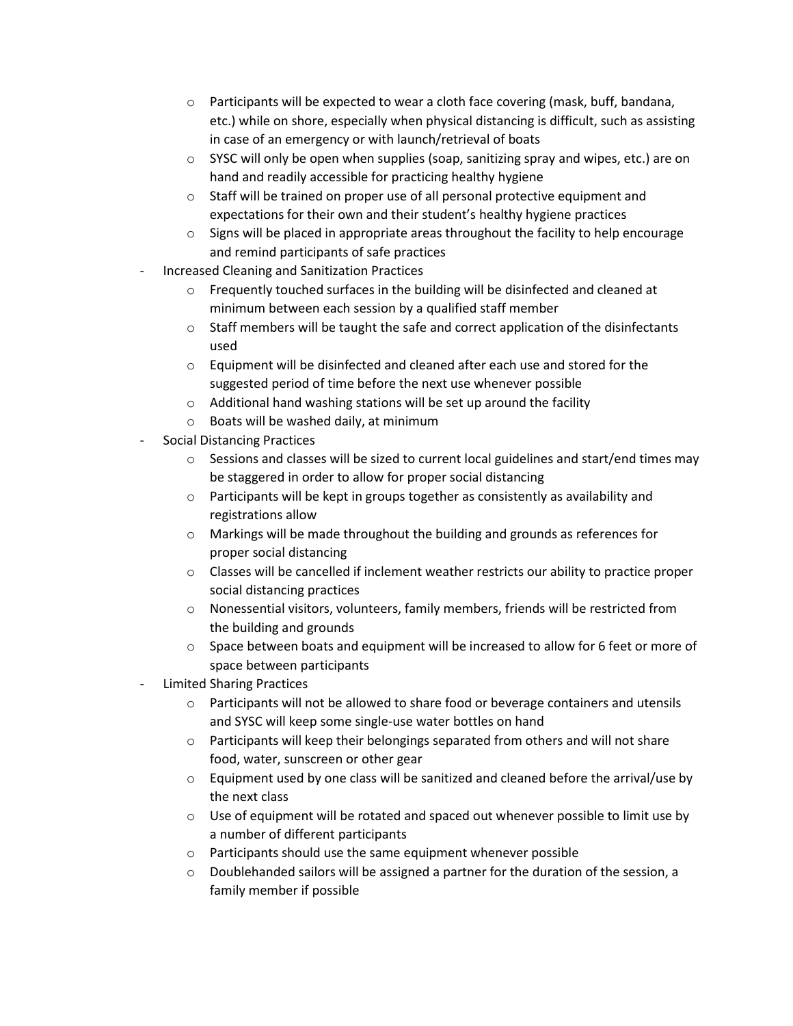- $\circ$  Participants will be expected to wear a cloth face covering (mask, buff, bandana, etc.) while on shore, especially when physical distancing is difficult, such as assisting in case of an emergency or with launch/retrieval of boats
- $\circ$  SYSC will only be open when supplies (soap, sanitizing spray and wipes, etc.) are on hand and readily accessible for practicing healthy hygiene
- o Staff will be trained on proper use of all personal protective equipment and expectations for their own and their student's healthy hygiene practices
- $\circ$  Signs will be placed in appropriate areas throughout the facility to help encourage and remind participants of safe practices
- Increased Cleaning and Sanitization Practices
	- $\circ$  Frequently touched surfaces in the building will be disinfected and cleaned at minimum between each session by a qualified staff member
	- $\circ$  Staff members will be taught the safe and correct application of the disinfectants used
	- $\circ$  Equipment will be disinfected and cleaned after each use and stored for the suggested period of time before the next use whenever possible
	- $\circ$  Additional hand washing stations will be set up around the facility
	- o Boats will be washed daily, at minimum
- Social Distancing Practices
	- $\circ$  Sessions and classes will be sized to current local guidelines and start/end times may be staggered in order to allow for proper social distancing
	- $\circ$  Participants will be kept in groups together as consistently as availability and registrations allow
	- o Markings will be made throughout the building and grounds as references for proper social distancing
	- $\circ$  Classes will be cancelled if inclement weather restricts our ability to practice proper social distancing practices
	- $\circ$  Nonessential visitors, volunteers, family members, friends will be restricted from the building and grounds
	- $\circ$  Space between boats and equipment will be increased to allow for 6 feet or more of space between participants
- Limited Sharing Practices
	- o Participants will not be allowed to share food or beverage containers and utensils and SYSC will keep some single-use water bottles on hand
	- o Participants will keep their belongings separated from others and will not share food, water, sunscreen or other gear
	- $\circ$  Equipment used by one class will be sanitized and cleaned before the arrival/use by the next class
	- $\circ$  Use of equipment will be rotated and spaced out whenever possible to limit use by a number of different participants
	- o Participants should use the same equipment whenever possible
	- $\circ$  Doublehanded sailors will be assigned a partner for the duration of the session, a family member if possible